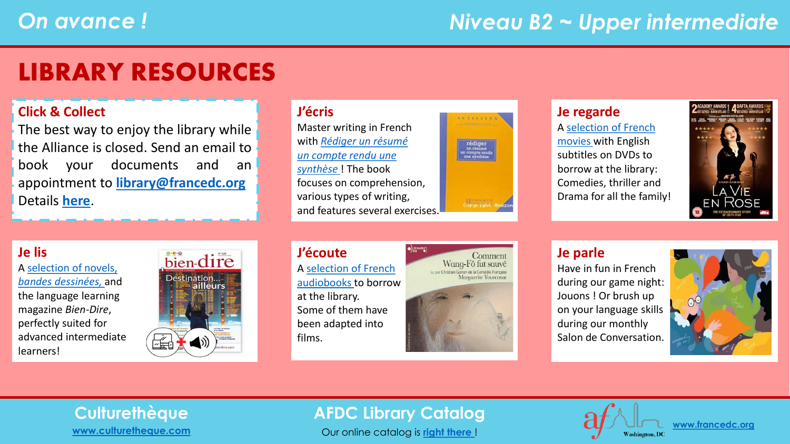## *Niveau B2 ~ Upper intermediate*

## LIBRARY RESOURCES

### **Click & Collect**

The best way to enjoy the library while the Alliance is closed. Send an email to book your documents and an appointment to **[library@francedc.org](mailto:library@francedc.org)** Details **[here](https://francedc.org/Click_and_Collect_Service)**.

### **J'écris**

Master writing in French with *Rédiger un résumé [un compte rendu une](https://librarycatalog.francedc.org/index.php?lvl=notice_display&id=19223)  synthèse* ! The book focuses on comprehension, various types of writing, and features several exercises.



### **Je regarde**

A [selection of French](https://librarycatalog.francedc.org/index.php?lvl=cmspage&pageid=6&id_rubrique=118)  [movies](https://librarycatalog.francedc.org/index.php?lvl=cmspage&pageid=6&id_rubrique=118) with English subtitles on DVDs to borrow at the library: Comedies, thriller and Drama for all the family!



### **Je lis**

A [selection of novels,](https://librarycatalog.francedc.org/index.php?lvl=cmspage&pageid=6&id_rubrique=119)  *bandes [dessinées,](https://librarycatalog.francedc.org/index.php?lvl=cmspage&pageid=6&id_rubrique=119)* and the language learning magazine *Bien-Dire*, perfectly suited for advanced intermediate learners!



### **J'écoute** A [selection of French](https://librarycatalog.francedc.org/index.php?lvl=cmspage&pageid=6&id_rubrique=120) [audiobooks](https://librarycatalog.francedc.org/index.php?lvl=cmspage&pageid=6&id_rubrique=120) to borrow at the library. Some of them have been adapted into films.



### **Je parle**

Have in fun in French during our game night: Jouons ! Or brush up on your language skills during our monthly Salon de Conversation.



# **[www.culturetheque.com](https://www.culturetheque.com/US/accueil-portal.aspx)**

### **Culturethèque AFDC Library Catalog**

Our online catalog is **[right there](http://librarycatalog.francedc.org/opac/)** !